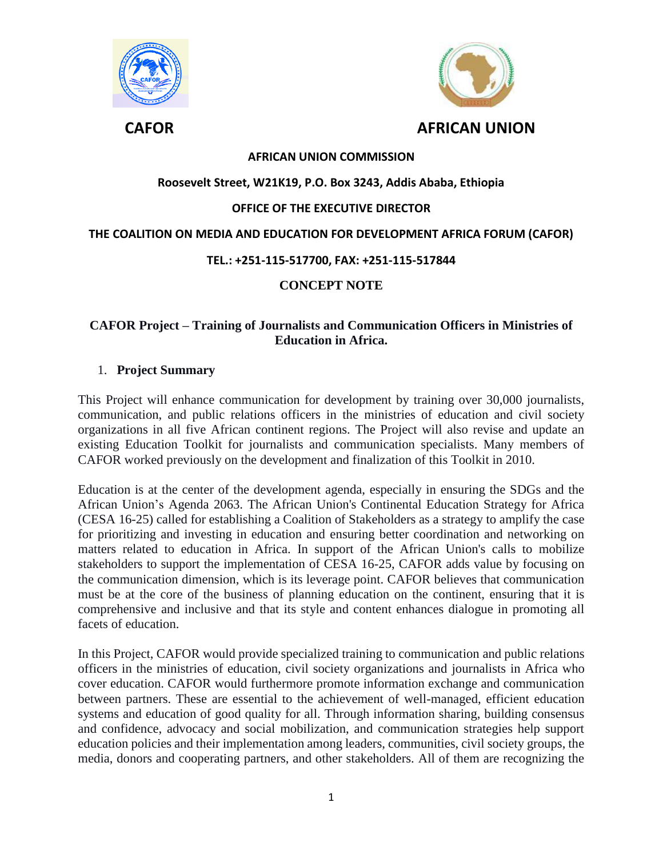



### **AFRICAN UNION COMMISSION**

#### **Roosevelt Street, W21K19, P.O. Box 3243, Addis Ababa, Ethiopia**

#### **OFFICE OF THE EXECUTIVE DIRECTOR**

#### **THE COALITION ON MEDIA AND EDUCATION FOR DEVELOPMENT AFRICA FORUM (CAFOR)**

#### **TEL.: +251-115-517700, FAX: +251-115-517844**

### **CONCEPT NOTE**

#### **CAFOR Project – Training of Journalists and Communication Officers in Ministries of Education in Africa.**

#### 1. **Project Summary**

This Project will enhance communication for development by training over 30,000 journalists, communication, and public relations officers in the ministries of education and civil society organizations in all five African continent regions. The Project will also revise and update an existing Education Toolkit for journalists and communication specialists. Many members of CAFOR worked previously on the development and finalization of this Toolkit in 2010.

Education is at the center of the development agenda, especially in ensuring the SDGs and the African Union's Agenda 2063. The African Union's Continental Education Strategy for Africa (CESA 16-25) called for establishing a Coalition of Stakeholders as a strategy to amplify the case for prioritizing and investing in education and ensuring better coordination and networking on matters related to education in Africa. In support of the African Union's calls to mobilize stakeholders to support the implementation of CESA 16-25, CAFOR adds value by focusing on the communication dimension, which is its leverage point. CAFOR believes that communication must be at the core of the business of planning education on the continent, ensuring that it is comprehensive and inclusive and that its style and content enhances dialogue in promoting all facets of education.

In this Project, CAFOR would provide specialized training to communication and public relations officers in the ministries of education, civil society organizations and journalists in Africa who cover education. CAFOR would furthermore promote information exchange and communication between partners. These are essential to the achievement of well-managed, efficient education systems and education of good quality for all. Through information sharing, building consensus and confidence, advocacy and social mobilization, and communication strategies help support education policies and their implementation among leaders, communities, civil society groups, the media, donors and cooperating partners, and other stakeholders. All of them are recognizing the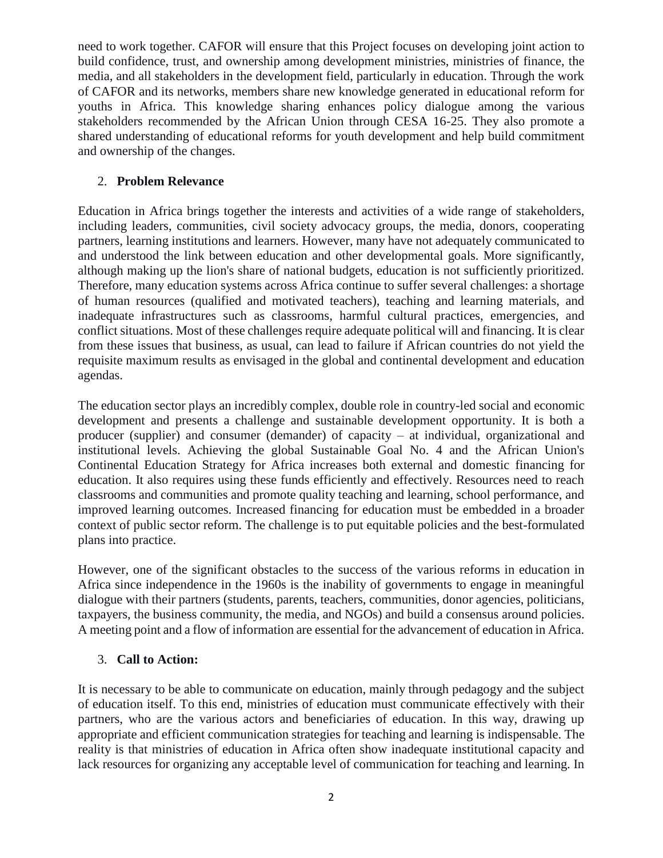need to work together. CAFOR will ensure that this Project focuses on developing joint action to build confidence, trust, and ownership among development ministries, ministries of finance, the media, and all stakeholders in the development field, particularly in education. Through the work of CAFOR and its networks, members share new knowledge generated in educational reform for youths in Africa. This knowledge sharing enhances policy dialogue among the various stakeholders recommended by the African Union through CESA 16-25. They also promote a shared understanding of educational reforms for youth development and help build commitment and ownership of the changes.

### 2. **Problem Relevance**

Education in Africa brings together the interests and activities of a wide range of stakeholders, including leaders, communities, civil society advocacy groups, the media, donors, cooperating partners, learning institutions and learners. However, many have not adequately communicated to and understood the link between education and other developmental goals. More significantly, although making up the lion's share of national budgets, education is not sufficiently prioritized. Therefore, many education systems across Africa continue to suffer several challenges: a shortage of human resources (qualified and motivated teachers), teaching and learning materials, and inadequate infrastructures such as classrooms, harmful cultural practices, emergencies, and conflict situations. Most of these challenges require adequate political will and financing. It is clear from these issues that business, as usual, can lead to failure if African countries do not yield the requisite maximum results as envisaged in the global and continental development and education agendas.

The education sector plays an incredibly complex, double role in country-led social and economic development and presents a challenge and sustainable development opportunity. It is both a producer (supplier) and consumer (demander) of capacity – at individual, organizational and institutional levels. Achieving the global Sustainable Goal No. 4 and the African Union's Continental Education Strategy for Africa increases both external and domestic financing for education. It also requires using these funds efficiently and effectively. Resources need to reach classrooms and communities and promote quality teaching and learning, school performance, and improved learning outcomes. Increased financing for education must be embedded in a broader context of public sector reform. The challenge is to put equitable policies and the best-formulated plans into practice.

However, one of the significant obstacles to the success of the various reforms in education in Africa since independence in the 1960s is the inability of governments to engage in meaningful dialogue with their partners (students, parents, teachers, communities, donor agencies, politicians, taxpayers, the business community, the media, and NGOs) and build a consensus around policies. A meeting point and a flow of information are essential for the advancement of education in Africa.

# 3. **Call to Action:**

It is necessary to be able to communicate on education, mainly through pedagogy and the subject of education itself. To this end, ministries of education must communicate effectively with their partners, who are the various actors and beneficiaries of education. In this way, drawing up appropriate and efficient communication strategies for teaching and learning is indispensable. The reality is that ministries of education in Africa often show inadequate institutional capacity and lack resources for organizing any acceptable level of communication for teaching and learning. In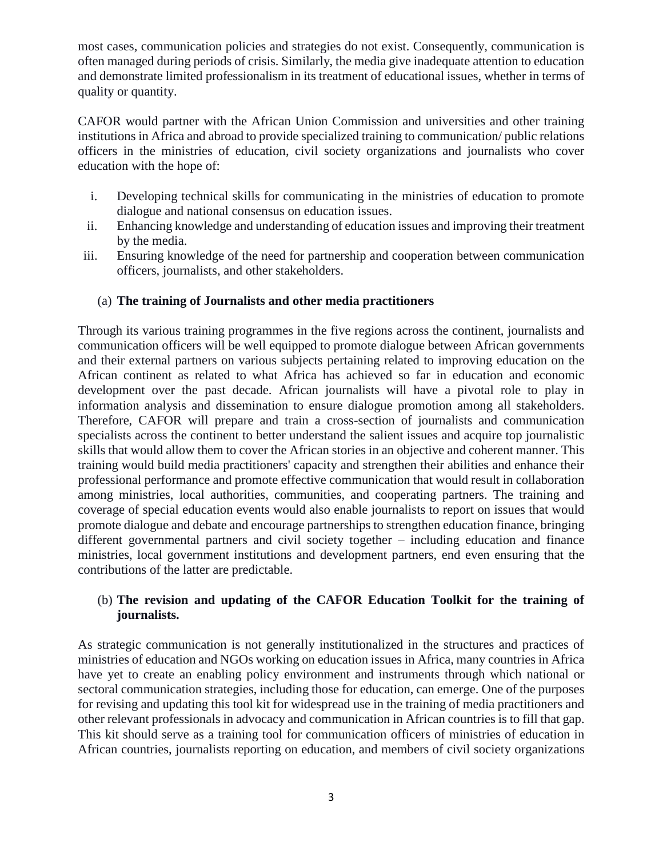most cases, communication policies and strategies do not exist. Consequently, communication is often managed during periods of crisis. Similarly, the media give inadequate attention to education and demonstrate limited professionalism in its treatment of educational issues, whether in terms of quality or quantity.

CAFOR would partner with the African Union Commission and universities and other training institutions in Africa and abroad to provide specialized training to communication/ public relations officers in the ministries of education, civil society organizations and journalists who cover education with the hope of:

- i. Developing technical skills for communicating in the ministries of education to promote dialogue and national consensus on education issues.
- ii. Enhancing knowledge and understanding of education issues and improving their treatment by the media.
- iii. Ensuring knowledge of the need for partnership and cooperation between communication officers, journalists, and other stakeholders.

# (a) **The training of Journalists and other media practitioners**

Through its various training programmes in the five regions across the continent, journalists and communication officers will be well equipped to promote dialogue between African governments and their external partners on various subjects pertaining related to improving education on the African continent as related to what Africa has achieved so far in education and economic development over the past decade. African journalists will have a pivotal role to play in information analysis and dissemination to ensure dialogue promotion among all stakeholders. Therefore, CAFOR will prepare and train a cross-section of journalists and communication specialists across the continent to better understand the salient issues and acquire top journalistic skills that would allow them to cover the African stories in an objective and coherent manner. This training would build media practitioners' capacity and strengthen their abilities and enhance their professional performance and promote effective communication that would result in collaboration among ministries, local authorities, communities, and cooperating partners. The training and coverage of special education events would also enable journalists to report on issues that would promote dialogue and debate and encourage partnerships to strengthen education finance, bringing different governmental partners and civil society together – including education and finance ministries, local government institutions and development partners, end even ensuring that the contributions of the latter are predictable.

# (b) **The revision and updating of the CAFOR Education Toolkit for the training of journalists.**

As strategic communication is not generally institutionalized in the structures and practices of ministries of education and NGOs working on education issues in Africa, many countries in Africa have yet to create an enabling policy environment and instruments through which national or sectoral communication strategies, including those for education, can emerge. One of the purposes for revising and updating this tool kit for widespread use in the training of media practitioners and other relevant professionals in advocacy and communication in African countries is to fill that gap. This kit should serve as a training tool for communication officers of ministries of education in African countries, journalists reporting on education, and members of civil society organizations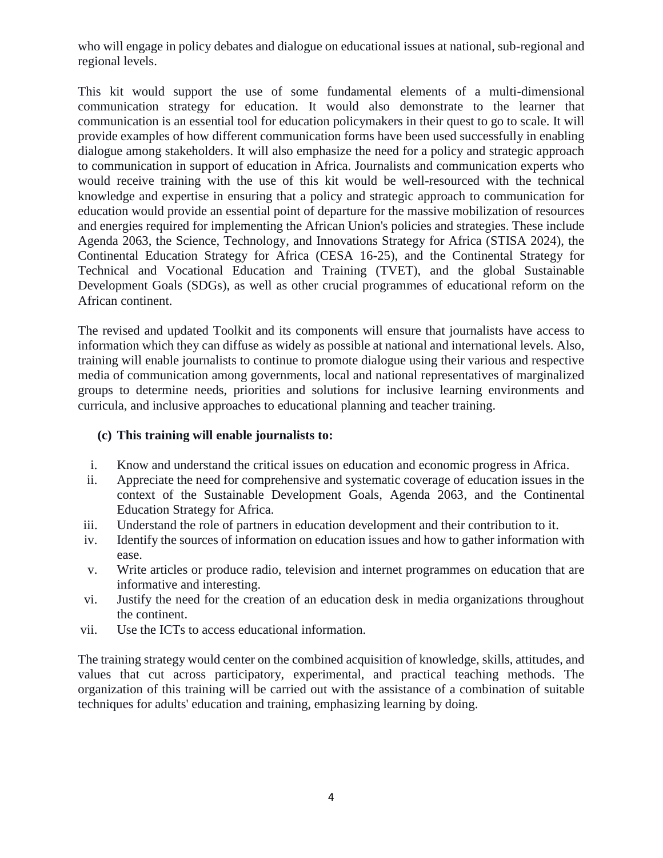who will engage in policy debates and dialogue on educational issues at national, sub-regional and regional levels.

This kit would support the use of some fundamental elements of a multi-dimensional communication strategy for education. It would also demonstrate to the learner that communication is an essential tool for education policymakers in their quest to go to scale. It will provide examples of how different communication forms have been used successfully in enabling dialogue among stakeholders. It will also emphasize the need for a policy and strategic approach to communication in support of education in Africa. Journalists and communication experts who would receive training with the use of this kit would be well-resourced with the technical knowledge and expertise in ensuring that a policy and strategic approach to communication for education would provide an essential point of departure for the massive mobilization of resources and energies required for implementing the African Union's policies and strategies. These include Agenda 2063, the Science, Technology, and Innovations Strategy for Africa (STISA 2024), the Continental Education Strategy for Africa (CESA 16-25), and the Continental Strategy for Technical and Vocational Education and Training (TVET), and the global Sustainable Development Goals (SDGs), as well as other crucial programmes of educational reform on the African continent.

The revised and updated Toolkit and its components will ensure that journalists have access to information which they can diffuse as widely as possible at national and international levels. Also, training will enable journalists to continue to promote dialogue using their various and respective media of communication among governments, local and national representatives of marginalized groups to determine needs, priorities and solutions for inclusive learning environments and curricula, and inclusive approaches to educational planning and teacher training.

# **(c) This training will enable journalists to:**

- i. Know and understand the critical issues on education and economic progress in Africa.
- ii. Appreciate the need for comprehensive and systematic coverage of education issues in the context of the Sustainable Development Goals, Agenda 2063, and the Continental Education Strategy for Africa.
- iii. Understand the role of partners in education development and their contribution to it.
- iv. Identify the sources of information on education issues and how to gather information with ease.
- v. Write articles or produce radio, television and internet programmes on education that are informative and interesting.
- vi. Justify the need for the creation of an education desk in media organizations throughout the continent.
- vii. Use the ICTs to access educational information.

The training strategy would center on the combined acquisition of knowledge, skills, attitudes, and values that cut across participatory, experimental, and practical teaching methods. The organization of this training will be carried out with the assistance of a combination of suitable techniques for adults' education and training, emphasizing learning by doing.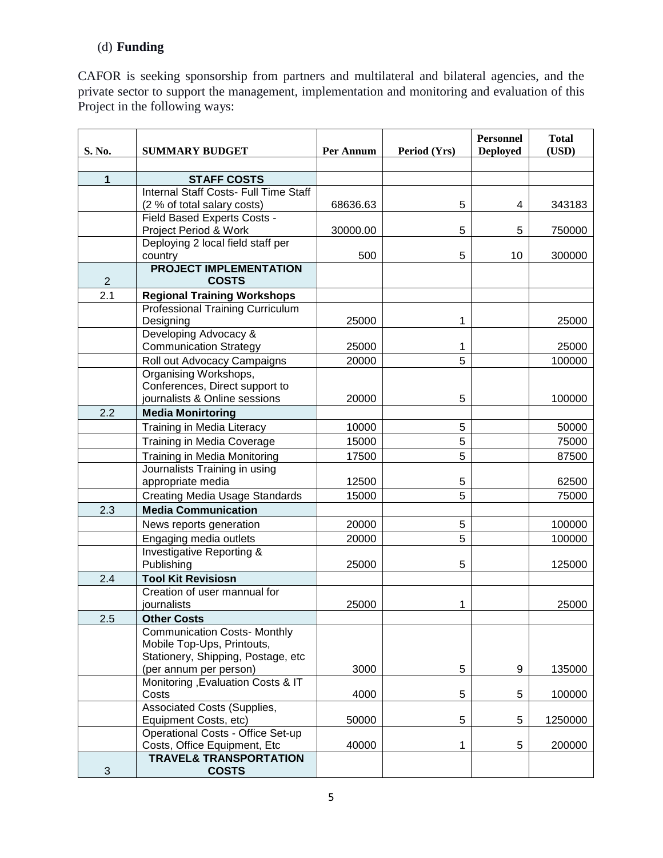# (d) **Funding**

CAFOR is seeking sponsorship from partners and multilateral and bilateral agencies, and the private sector to support the management, implementation and monitoring and evaluation of this Project in the following ways:

| S. No.         | <b>SUMMARY BUDGET</b>                                | Per Annum | Period (Yrs) | <b>Personnel</b><br><b>Deployed</b> | <b>Total</b><br>(USD) |
|----------------|------------------------------------------------------|-----------|--------------|-------------------------------------|-----------------------|
|                |                                                      |           |              |                                     |                       |
| 1              | <b>STAFF COSTS</b>                                   |           |              |                                     |                       |
|                | <b>Internal Staff Costs- Full Time Staff</b>         |           |              |                                     |                       |
|                | (2 % of total salary costs)                          | 68636.63  | 5            | 4                                   | 343183                |
|                | Field Based Experts Costs -                          |           |              |                                     |                       |
|                | Project Period & Work                                | 30000.00  | 5            | 5                                   | 750000                |
|                | Deploying 2 local field staff per<br>country         | 500       | 5            | 10                                  | 300000                |
|                | <b>PROJECT IMPLEMENTATION</b>                        |           |              |                                     |                       |
| $\overline{2}$ | <b>COSTS</b>                                         |           |              |                                     |                       |
| 2.1            | <b>Regional Training Workshops</b>                   |           |              |                                     |                       |
|                | Professional Training Curriculum                     |           |              |                                     |                       |
|                | Designing                                            | 25000     | 1            |                                     | 25000                 |
|                | Developing Advocacy &                                |           |              |                                     |                       |
|                | <b>Communication Strategy</b>                        | 25000     | 1            |                                     | 25000                 |
|                | Roll out Advocacy Campaigns                          | 20000     | 5            |                                     | 100000                |
|                | Organising Workshops,                                |           |              |                                     |                       |
|                | Conferences, Direct support to                       |           |              |                                     |                       |
|                | journalists & Online sessions                        | 20000     | 5            |                                     | 100000                |
| 2.2            | <b>Media Monirtoring</b>                             |           |              |                                     |                       |
|                | Training in Media Literacy                           | 10000     | 5            |                                     | 50000                 |
|                | Training in Media Coverage                           | 15000     | 5            |                                     | 75000                 |
|                | Training in Media Monitoring                         | 17500     | 5            |                                     | 87500                 |
|                | Journalists Training in using                        |           |              |                                     |                       |
|                | appropriate media                                    | 12500     | 5            |                                     | 62500                 |
|                | <b>Creating Media Usage Standards</b>                | 15000     | 5            |                                     | 75000                 |
| 2.3            | <b>Media Communication</b>                           |           |              |                                     |                       |
|                | News reports generation                              | 20000     | 5            |                                     | 100000                |
|                | Engaging media outlets                               | 20000     | 5            |                                     | 100000                |
|                | <b>Investigative Reporting &amp;</b>                 |           |              |                                     |                       |
|                | Publishing                                           | 25000     | 5            |                                     | 125000                |
| 2.4            | <b>Tool Kit Revisiosn</b>                            |           |              |                                     |                       |
|                | Creation of user mannual for                         |           |              |                                     |                       |
|                | journalists                                          | 25000     | 1            |                                     | 25000                 |
| 2.5            | <b>Other Costs</b>                                   |           |              |                                     |                       |
|                | <b>Communication Costs-Monthly</b>                   |           |              |                                     |                       |
|                | Mobile Top-Ups, Printouts,                           |           |              |                                     |                       |
|                | Stationery, Shipping, Postage, etc                   |           |              |                                     |                       |
|                | (per annum per person)                               | 3000      | 5            | 9                                   | 135000                |
|                | Monitoring, Evaluation Costs & IT                    |           |              |                                     |                       |
|                | Costs                                                | 4000      | 5            | 5                                   | 100000                |
|                | Associated Costs (Supplies,<br>Equipment Costs, etc) | 50000     | 5            | 5                                   | 1250000               |
|                | Operational Costs - Office Set-up                    |           |              |                                     |                       |
|                | Costs, Office Equipment, Etc                         | 40000     | 1            | 5                                   | 200000                |
|                | <b>TRAVEL&amp; TRANSPORTATION</b>                    |           |              |                                     |                       |
| 3              | <b>COSTS</b>                                         |           |              |                                     |                       |